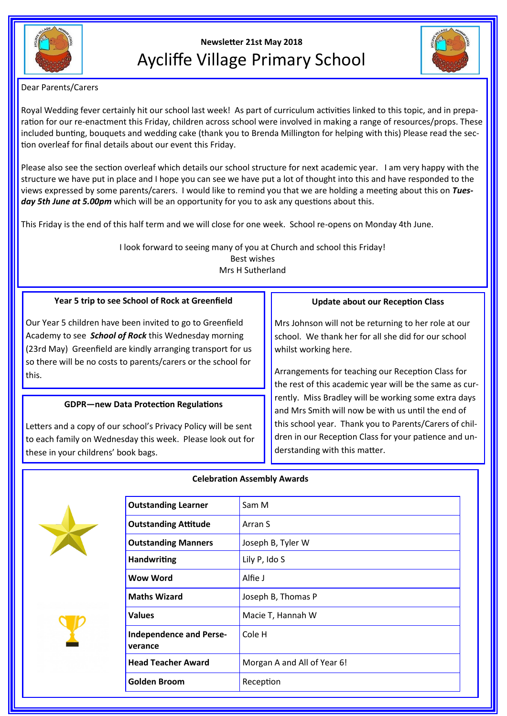

# **Newsletter 21st May 2018** Aycliffe Village Primary School



Dear Parents/Carers

Royal Wedding fever certainly hit our school last week! As part of curriculum activities linked to this topic, and in preparation for our re-enactment this Friday, children across school were involved in making a range of resources/props. These included bunting, bouquets and wedding cake (thank you to Brenda Millington for helping with this) Please read the section overleaf for final details about our event this Friday.

Please also see the section overleaf which details our school structure for next academic year. I am very happy with the structure we have put in place and I hope you can see we have put a lot of thought into this and have responded to the views expressed by some parents/carers. I would like to remind you that we are holding a meeting about this on *Tues*day 5th June at 5.00pm which will be an opportunity for you to ask any questions about this.

This Friday is the end of this half term and we will close for one week. School re-opens on Monday 4th June.

I look forward to seeing many of you at Church and school this Friday! Best wishes Mrs H Sutherland

## **Year 5 trip to see School of Rock at Greenfield**

Our Year 5 children have been invited to go to Greenfield Academy to see *School of Rock* this Wednesday morning (23rd May) Greenfield are kindly arranging transport for us so there will be no costs to parents/carers or the school for this.

### **GDPR—new Data Protection Regulations**

Letters and a copy of our school's Privacy Policy will be sent to each family on Wednesday this week. Please look out for these in your childrens' book bags.

## **Update about our Reception Class**

Mrs Johnson will not be returning to her role at our school. We thank her for all she did for our school whilst working here.

Arrangements for teaching our Reception Class for the rest of this academic year will be the same as currently. Miss Bradley will be working some extra days and Mrs Smith will now be with us until the end of this school year. Thank you to Parents/Carers of children in our Reception Class for your patience and understanding with this matter.





#### **Celebration Assembly Awards**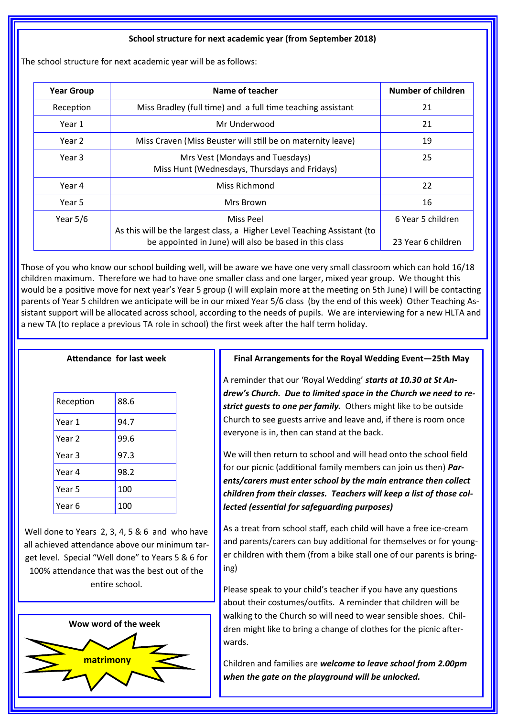#### **School structure for next academic year (from September 2018)**

The school structure for next academic year will be as follows:

| <b>Year Group</b> | Name of teacher                                                                                                                                 | Number of children                      |
|-------------------|-------------------------------------------------------------------------------------------------------------------------------------------------|-----------------------------------------|
| Reception         | Miss Bradley (full time) and a full time teaching assistant                                                                                     | 21                                      |
| Year 1            | Mr Underwood                                                                                                                                    | 21                                      |
| Year 2            | Miss Craven (Miss Beuster will still be on maternity leave)                                                                                     | 19                                      |
| Year 3            | Mrs Vest (Mondays and Tuesdays)<br>Miss Hunt (Wednesdays, Thursdays and Fridays)                                                                | 25                                      |
| Year 4            | Miss Richmond                                                                                                                                   | 22                                      |
| Year 5            | Mrs Brown                                                                                                                                       | 16                                      |
| Year $5/6$        | Miss Peel<br>As this will be the largest class, a Higher Level Teaching Assistant (to<br>be appointed in June) will also be based in this class | 6 Year 5 children<br>23 Year 6 children |

Those of you who know our school building well, will be aware we have one very small classroom which can hold 16/18 children maximum. Therefore we had to have one smaller class and one larger, mixed year group. We thought this would be a positive move for next year's Year 5 group (I will explain more at the meeting on 5th June) I will be contacting parents of Year 5 children we anticipate will be in our mixed Year 5/6 class (by the end of this week) Other Teaching Assistant support will be allocated across school, according to the needs of pupils. We are interviewing for a new HLTA and a new TA (to replace a previous TA role in school) the first week after the half term holiday.

#### **Attendance for last week**

| Reception | 88.6 |
|-----------|------|
| Year 1    | 94.7 |
| Year 2    | 99.6 |
| Year 3    | 97.3 |
| Year 4    | 98.2 |
| Year 5    | 100  |
| Year 6    | 100  |

Well done to Years 2, 3, 4, 5 & 6 and who have all achieved attendance above our minimum target level. Special "Well done" to Years 5 & 6 for 100% attendance that was the best out of the entire school.



## **Final Arrangements for the Royal Wedding Event—25th May**

A reminder that our 'Royal Wedding' *starts at 10.30 at St Andrew's Church. Due to limited space in the Church we need to restrict guests to one per family.* Others might like to be outside Church to see guests arrive and leave and, if there is room once everyone is in, then can stand at the back.

We will then return to school and will head onto the school field for our picnic (additional family members can join us then) *Parents/carers must enter school by the main entrance then collect children from their classes. Teachers will keep a list of those collected (essential for safeguarding purposes)*

As a treat from school staff, each child will have a free ice-cream and parents/carers can buy additional for themselves or for younger children with them (from a bike stall one of our parents is bringing)

Please speak to your child's teacher if you have any questions about their costumes/outfits. A reminder that children will be walking to the Church so will need to wear sensible shoes. Children might like to bring a change of clothes for the picnic afterwards.

Children and families are *welcome to leave school from 2.00pm when the gate on the playground will be unlocked.*